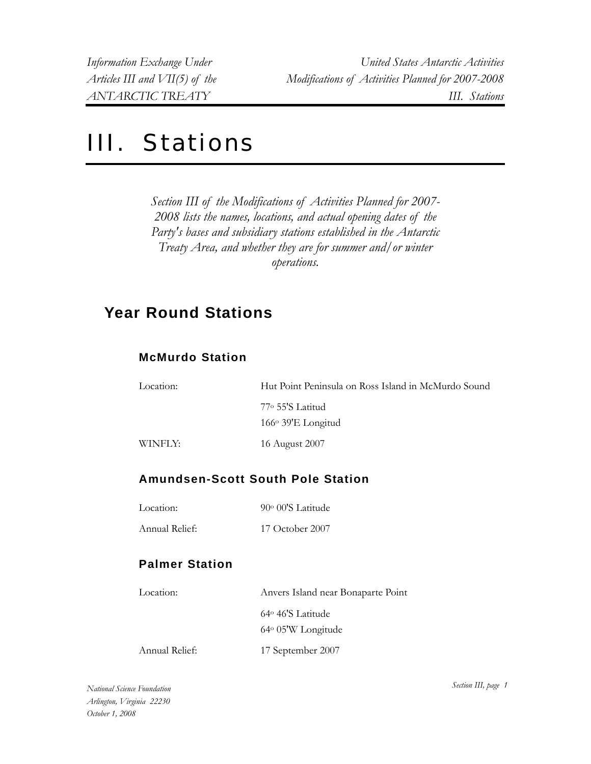# III. Stations

*Section III of the Modifications of Activities Planned for 2007- 2008 lists the names, locations, and actual opening dates of the Party's bases and subsidiary stations established in the Antarctic Treaty Area, and whether they are for summer and/or winter operations.* 

# **Year Round Stations**

# **McMurdo Station**

| Location: | Hut Point Peninsula on Ross Island in McMurdo Sound |
|-----------|-----------------------------------------------------|
|           | $77^\circ$ 55'S Latitud<br>$166°39'E$ Longitud      |
| WINFLY:   | 16 August 2007                                      |

# **Amundsen-Scott South Pole Station**

| Location: | 90° 00'S Latitude |
|-----------|-------------------|
|           |                   |

Annual Relief: 17 October 2007

# **Palmer Station**

| Location:      | Anvers Island near Bonaparte Point |
|----------------|------------------------------------|
|                | $64^{\circ}$ 46'S Latitude         |
|                | 64° 05'W Longitude                 |
| Annual Relief: | 17 September 2007                  |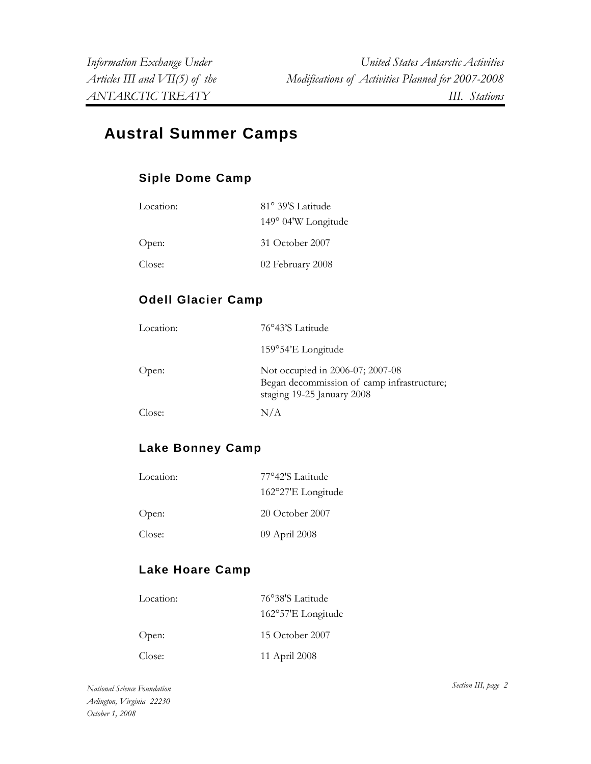# **Austral Summer Camps**

# **Siple Dome Camp**

| Location: | 81° 39'S Latitude   |
|-----------|---------------------|
|           | 149° 04'W Longitude |
| Open:     | 31 October 2007     |
| Close:    | 02 February 2008    |

# **Odell Glacier Camp**

| Location: | 76°43'S Latitude                                                                                             |
|-----------|--------------------------------------------------------------------------------------------------------------|
|           | 159°54'E Longitude                                                                                           |
| Open:     | Not occupied in 2006-07; 2007-08<br>Began decommission of camp infrastructure;<br>staging 19-25 January 2008 |
| Close:    | N/A                                                                                                          |

# **Lake Bonney Camp**

| Location: | 77°42'S Latitude    |
|-----------|---------------------|
|           | 162°27'E Longitude  |
| Open:     | $20$ October $2007$ |
| Close:    | 09 April 2008       |

# **Lake Hoare Camp**

| Location: | 76°38'S Latitude   |
|-----------|--------------------|
|           | 162°57'E Longitude |
| Open:     | 15 October 2007    |
| Close:    | 11 April 2008      |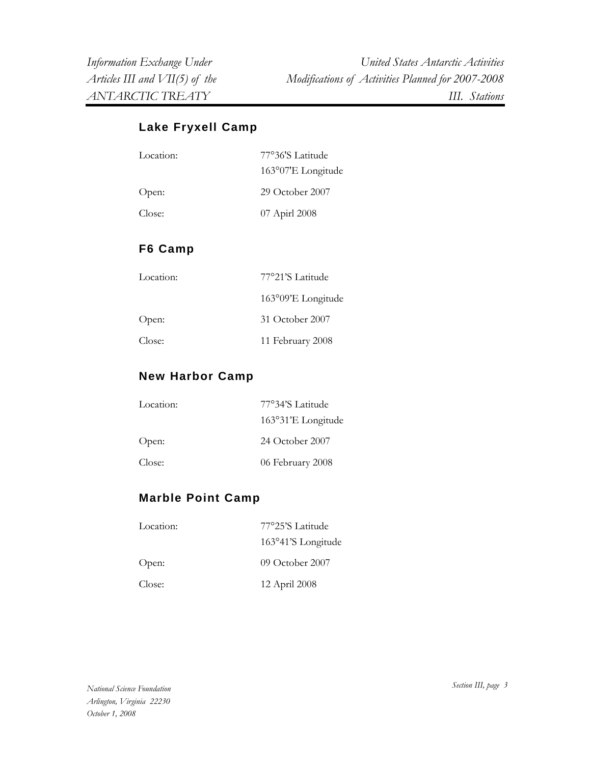# **Lake Fryxell Camp**

| Location: | 77°36'S Latitude    |
|-----------|---------------------|
|           | 163°07'E Longitude  |
| Open:     | $29$ October $2007$ |
| Close:    | 07 Apirl 2008       |

#### **F6 Camp**

| Location: | 77°21'S Latitude   |
|-----------|--------------------|
|           | 163°09'E Longitude |
| Open:     | 31 October 2007    |
| Close:    | 11 February 2008   |

#### **New Harbor Camp**

| Location: | 77°34'S Latitude    |
|-----------|---------------------|
|           | 163°31'E Longitude  |
| Open:     | $24$ October $2007$ |
| Close:    | 06 February 2008    |

#### **Marble Point Camp**

| Location: | 77°25'S Latitude   |
|-----------|--------------------|
|           | 163°41'S Longitude |
| Open:     | $09$ October 2007  |
| Close:    | 12 April 2008      |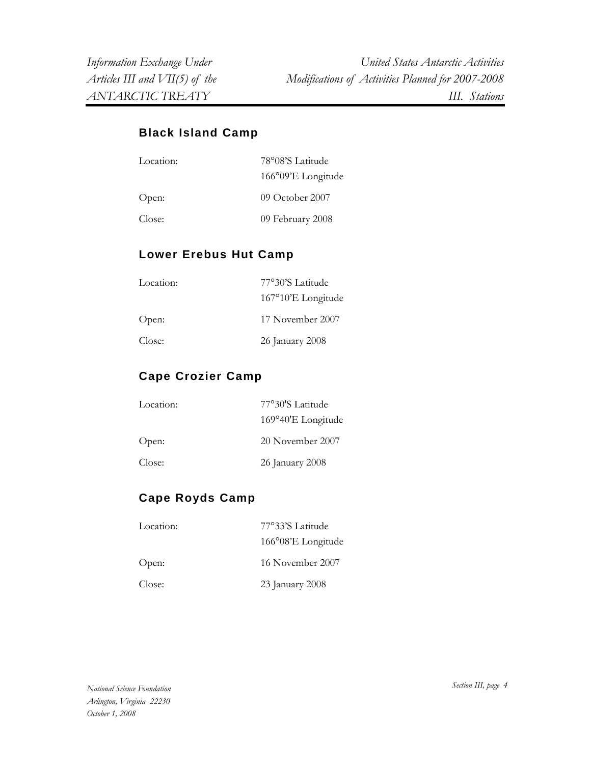# **Black Island Camp**

| Location: | 78°08'S Latitude   |
|-----------|--------------------|
|           | 166°09'E Longitude |
| Open:     | 09 October 2007    |
| Close:    | 09 February 2008   |

# **Lower Erebus Hut Camp**

| Location: | 77°30'S Latitude            |
|-----------|-----------------------------|
|           | $167^{\circ}10'E$ Longitude |
| Open:     | 17 November 2007            |
| Close:    | 26 January 2008             |

# **Cape Crozier Camp**

| Location: | 77°30'S Latitude   |
|-----------|--------------------|
|           | 169°40'E Longitude |
| Open:     | 20 November 2007   |
| Close:    | 26 January 2008    |

# **Cape Royds Camp**

| Location: | 77°33'S Latitude   |
|-----------|--------------------|
|           | 166°08'E Longitude |
| Open:     | 16 November 2007   |
| Close:    | 23 January 2008    |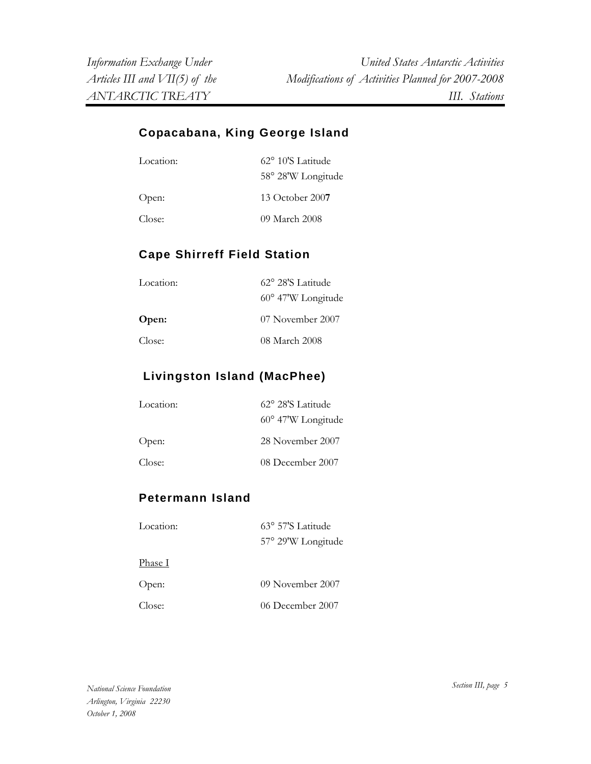#### **Copacabana, King George Island**

| Location: | $62^{\circ}$ 10'S Latitude<br>58° 28'W Longitude |
|-----------|--------------------------------------------------|
| Open:     | $13$ October $2007$                              |
| Close:    | 09 March 2008                                    |

# **Cape Shirreff Field Station**

| Location: | $62^{\circ}$ 28'S Latitude  |
|-----------|-----------------------------|
|           | $60^{\circ}$ 47'W Longitude |
| Open:     | 07 November 2007            |
| Close:    | 08 March 2008               |

# **Livingston Island (MacPhee)**

| Location: | 62° 28'S Latitude           |
|-----------|-----------------------------|
|           | $60^{\circ}$ 47'W Longitude |
| Open:     | 28 November 2007            |
| Close:    | 08 December 2007            |

#### **Petermann Island**

| Location:      | 63° 57'S Latitude  |
|----------------|--------------------|
|                | 57° 29'W Longitude |
| <u>Phase I</u> |                    |
| Open:          | 09 November 2007   |
| Close:         | 06 December 2007   |